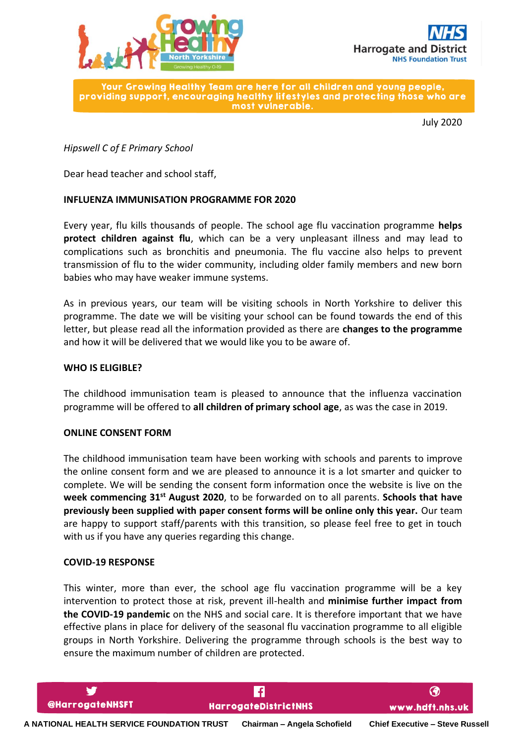



Your Growing Healthy Team are here for all children and young people. providing support, encouraging healthy lifestyles and protecting those who are most vulnerable.

July 2020

## *Hipswell C of E Primary School*

Dear head teacher and school staff,

### **INFLUENZA IMMUNISATION PROGRAMME FOR 2020**

Every year, flu kills thousands of people. The school age flu vaccination programme **helps protect children against flu**, which can be a very unpleasant illness and may lead to complications such as bronchitis and pneumonia. The flu vaccine also helps to prevent transmission of flu to the wider community, including older family members and new born babies who may have weaker immune systems.

As in previous years, our team will be visiting schools in North Yorkshire to deliver this programme. The date we will be visiting your school can be found towards the end of this letter, but please read all the information provided as there are **changes to the programme** and how it will be delivered that we would like you to be aware of.

#### **WHO IS ELIGIBLE?**

The childhood immunisation team is pleased to announce that the influenza vaccination programme will be offered to **all children of primary school age**, as was the case in 2019.

#### **ONLINE CONSENT FORM**

The childhood immunisation team have been working with schools and parents to improve the online consent form and we are pleased to announce it is a lot smarter and quicker to complete. We will be sending the consent form information once the website is live on the **week commencing 31st August 2020**, to be forwarded on to all parents. **Schools that have previously been supplied with paper consent forms will be online only this year.** Our team are happy to support staff/parents with this transition, so please feel free to get in touch with us if you have any queries regarding this change.

#### **COVID-19 RESPONSE**

This winter, more than ever, the school age flu vaccination programme will be a key intervention to protect those at risk, prevent ill-health and **minimise further impact from the COVID-19 pandemic** on the NHS and social care. It is therefore important that we have effective plans in place for delivery of the seasonal flu vaccination programme to all eligible groups in North Yorkshire. Delivering the programme through schools is the best way to ensure the maximum number of children are protected.

**A NATIONAL HEALTH SERVICE FOUNDATION TRUST Chairman – Angela Schofield Chief Executive – Steve Russell**